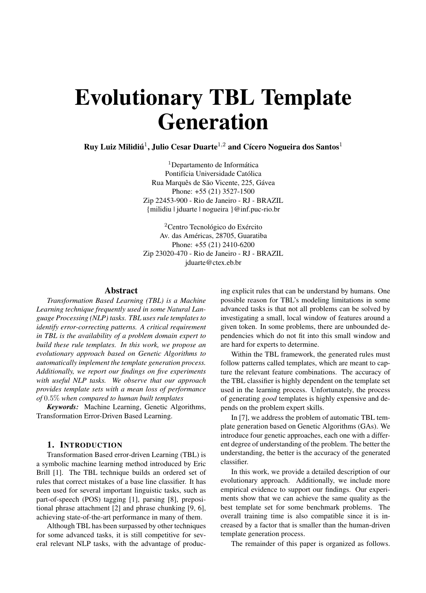# Evolutionary TBL Template Generation

Ruy Luiz Milidiú<sup>1</sup>, Julio Cesar Duarte<sup>1,2</sup> and Cícero Nogueira dos Santos<sup>1</sup>

<sup>1</sup>Departamento de Informática Pontifícia Universidade Católica Rua Marquês de São Vicente, 225, Gávea Phone: +55 (21) 3527-1500 Zip 22453-900 - Rio de Janeiro - RJ - BRAZIL {milidiu | jduarte | nogueira }@inf.puc-rio.br

<sup>2</sup>Centro Tecnológico do Exército Av. das Américas, 28705, Guaratiba Phone: +55 (21) 2410-6200 Zip 23020-470 - Rio de Janeiro - RJ - BRAZIL jduarte@ctex.eb.br

## Abstract

*Transformation Based Learning (TBL) is a Machine Learning technique frequently used in some Natural Language Processing (NLP) tasks. TBL uses rule templates to identify error-correcting patterns. A critical requirement in TBL is the availability of a problem domain expert to build these rule templates. In this work, we propose an evolutionary approach based on Genetic Algorithms to automatically implement the template generation process. Additionally, we report our findings on five experiments with useful NLP tasks. We observe that our approach provides template sets with a mean loss of performance of* 0.5% *when compared to human built templates*

*Keywords:* Machine Learning, Genetic Algorithms, Transformation Error-Driven Based Learning.

# 1. INTRODUCTION

Transformation Based error-driven Learning (TBL) is a symbolic machine learning method introduced by Eric Brill [1]. The TBL technique builds an ordered set of rules that correct mistakes of a base line classifier. It has been used for several important linguistic tasks, such as part-of-speech (POS) tagging [1], parsing [8], prepositional phrase attachment [2] and phrase chunking [9, 6], achieving state-of-the-art performance in many of them.

Although TBL has been surpassed by other techniques for some advanced tasks, it is still competitive for several relevant NLP tasks, with the advantage of producing explicit rules that can be understand by humans. One possible reason for TBL's modeling limitations in some advanced tasks is that not all problems can be solved by investigating a small, local window of features around a given token. In some problems, there are unbounded dependencies which do not fit into this small window and are hard for experts to determine.

Within the TBL framework, the generated rules must follow patterns called templates, which are meant to capture the relevant feature combinations. The accuracy of the TBL classifier is highly dependent on the template set used in the learning process. Unfortunately, the process of generating *good* templates is highly expensive and depends on the problem expert skills.

In [7], we address the problem of automatic TBL template generation based on Genetic Algorithms (GAs). We introduce four genetic approaches, each one with a different degree of understanding of the problem. The better the understanding, the better is the accuracy of the generated classifier.

In this work, we provide a detailed description of our evolutionary approach. Additionally, we include more empirical evidence to support our findings. Our experiments show that we can achieve the same quality as the best template set for some benchmark problems. The overall training time is also compatible since it is increased by a factor that is smaller than the human-driven template generation process.

The remainder of this paper is organized as follows.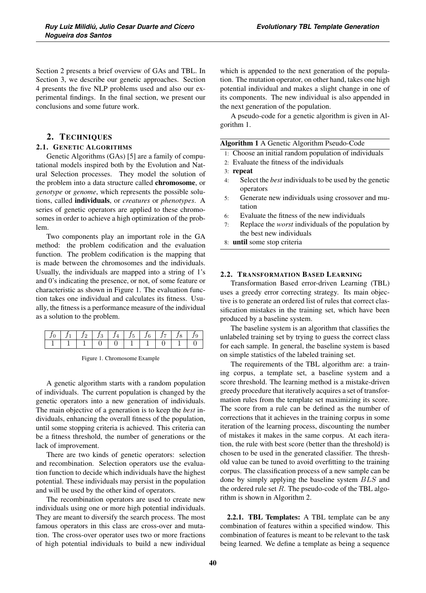Section 2 presents a brief overview of GAs and TBL. In Section 3, we describe our genetic approaches. Section 4 presents the five NLP problems used and also our experimental findings. In the final section, we present our conclusions and some future work.

# 2. TECHNIQUES

# 2.1. GENETIC ALGORITHMS

Genetic Algorithms (GAs) [5] are a family of computational models inspired both by the Evolution and Natural Selection processes. They model the solution of the problem into a data structure called chromosome, or *genotype* or *genome*, which represents the possible solutions, called individuals, or *creatures* or *phenotypes*. A series of genetic operators are applied to these chromosomes in order to achieve a high optimization of the problem.

Two components play an important role in the GA method: the problem codification and the evaluation function. The problem codification is the mapping that is made between the chromosomes and the individuals. Usually, the individuals are mapped into a string of 1's and 0's indicating the presence, or not, of some feature or characteristic as shown in Figure 1. The evaluation function takes one individual and calculates its fitness. Usually, the fitness is a performance measure of the individual as a solution to the problem.

Figure 1. Chromosome Example

A genetic algorithm starts with a random population of individuals. The current population is changed by the genetic operators into a new generation of individuals. The main objective of a generation is to keep the *best* individuals, enhancing the overall fitness of the population, until some stopping criteria is achieved. This criteria can be a fitness threshold, the number of generations or the lack of improvement.

There are two kinds of genetic operators: selection and recombination. Selection operators use the evaluation function to decide which individuals have the highest potential. These individuals may persist in the population and will be used by the other kind of operators.

The recombination operators are used to create new individuals using one or more high potential individuals. They are meant to diversify the search process. The most famous operators in this class are cross-over and mutation. The cross-over operator uses two or more fractions of high potential individuals to build a new individual

which is appended to the next generation of the population. The mutation operator, on other hand, takes one high potential individual and makes a slight change in one of its components. The new individual is also appended in the next generation of the population.

A pseudo-code for a genetic algorithm is given in Algorithm 1.

#### Algorithm 1 A Genetic Algorithm Pseudo-Code

- 1: Choose an initial random population of individuals
- 2: Evaluate the fitness of the individuals
- 3: repeat
- 4: Select the *best* individuals to be used by the genetic operators
- 5: Generate new individuals using crossover and mutation
- 6: Evaluate the fitness of the new individuals
- 7: Replace the *worst* individuals of the population by the best new individuals
- 8: until some stop criteria

## 2.2. TRANSFORMATION BASED LEARNING

Transformation Based error-driven Learning (TBL) uses a greedy error correcting strategy. Its main objective is to generate an ordered list of rules that correct classification mistakes in the training set, which have been produced by a baseline system.

The baseline system is an algorithm that classifies the unlabeled training set by trying to guess the correct class for each sample. In general, the baseline system is based on simple statistics of the labeled training set.

The requirements of the TBL algorithm are: a training corpus, a template set, a baseline system and a score threshold. The learning method is a mistake-driven greedy procedure that iteratively acquires a set of transformation rules from the template set maximizing its score. The score from a rule can be defined as the number of corrections that it achieves in the training corpus in some iteration of the learning process, discounting the number of mistakes it makes in the same corpus. At each iteration, the rule with best score (better than the threshold) is chosen to be used in the generated classifier. The threshold value can be tuned to avoid overfitting to the training corpus. The classification process of a new sample can be done by simply applying the baseline system BLS and the ordered rule set  $R$ . The pseudo-code of the TBL algorithm is shown in Algorithm 2.

2.2.1. TBL Templates: A TBL template can be any combination of features within a specified window. This combination of features is meant to be relevant to the task being learned. We define a template as being a sequence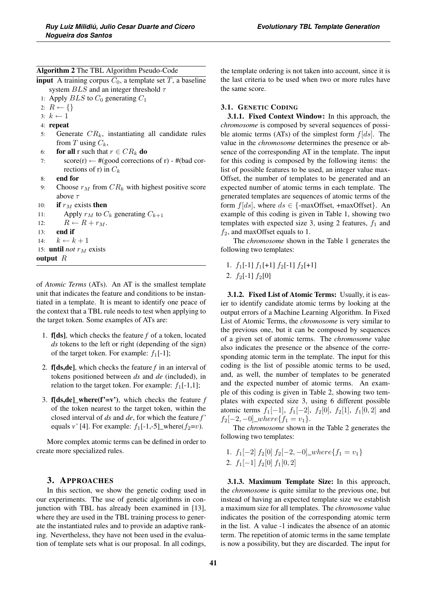Algorithm 2 The TBL Algorithm Pseudo-Code

**input** A training corpus  $C_0$ , a template set T, a baseline system  $BLS$  and an integer threshold  $\tau$ 

1: Apply  $BLS$  to  $C_0$  generating  $C_1$ 

2:  $R \leftarrow \{\}$ 

- 3:  $k \leftarrow 1$
- 4: repeat
- 5: Generate  $CR_k$ , instantiating all candidate rules from T using  $C_k$ ,
- 6: **for all** r such that  $r \in CR_k$  **do**<br>7:  $\sec(r) \leftarrow \#(\text{good correction})$
- $score(r) \leftarrow$  #(good corrections of r) #(bad corrections of r) in  $C_k$
- 8: end for
- 9: Choose  $r_M$  from  $CR_k$  with highest positive score above  $\tau$

```
10: if r_M exists then
```

```
11: Apply r_M to C_k generating C_{k+1}
```
- 12:  $R \leftarrow R + r_M.$ <br>13: **end if**
- end if
- 14:  $k \leftarrow k + 1$
- 15: **until** *not*  $r_M$  exists
- output  $R$

of *Atomic Terms* (ATs). An AT is the smallest template unit that indicates the feature and conditions to be instantiated in a template. It is meant to identify one peace of the context that a TBL rule needs to test when applying to the target token. Some examples of ATs are:

- 1. f[ds], which checks the feature *f* of a token, located *ds* tokens to the left or right (depending of the sign) of the target token. For example:  $f_1[-1]$ ;
- 2. f[ds,de], which checks the feature *f* in an interval of tokens positioned between *ds* and *de* (included), in relation to the target token. For example:  $f_1[-1,1]$ ;
- 3. **f**[ds,de]\_where( $f' = v'$ ), which checks the feature  $f$ of the token nearest to the target token, within the closed interval of *ds* and *de*, for which the feature *f '* equals  $v'$  [4]. For example:  $f_1[-1,-5]$  where( $f_2=v$ ).

More complex atomic terms can be defined in order to create more specialized rules.

# 3. APPROACHES

In this section, we show the genetic coding used in our experiments. The use of genetic algorithms in conjunction with TBL has already been examined in [13], where they are used in the TBL training process to generate the instantiated rules and to provide an adaptive ranking. Nevertheless, they have not been used in the evaluation of template sets what is our proposal. In all codings,

the template ordering is not taken into account, since it is the last criteria to be used when two or more rules have the same score.

## 3.1. GENETIC CODING

3.1.1. Fixed Context Window: In this approach, the *chromosome* is composed by several sequences of possible atomic terms (ATs) of the simplest form  $f(ds)$ . The value in the *chromosome* determines the presence or absence of the corresponding AT in the template. The input for this coding is composed by the following items: the list of possible features to be used, an integer value max-Offset, the number of templates to be generated and an expected number of atomic terms in each template. The generated templates are sequences of atomic terms of the form  $f[ds]$ , where  $ds \in \{\text{-maxOffset}, \text{+maxOffset}\}.$  An example of this coding is given in Table 1, showing two templates with expected size 3, using 2 features,  $f_1$  and  $f_2$ , and maxOffset equals to 1.

The *chromosome* shown in the Table 1 generates the following two templates:

- 1.  $f_1[-1] f_1[+1] f_2[-1] f_2[+1]$
- 2.  $f_2[-1] f_2[0]$

3.1.2. Fixed List of Atomic Terms: Usually, it is easier to identify candidate atomic terms by looking at the output errors of a Machine Learning Algorithm. In Fixed List of Atomic Terms, the *chromosome* is very similar to the previous one, but it can be composed by sequences of a given set of atomic terms. The *chromosome* value also indicates the presence or the absence of the corresponding atomic term in the template. The input for this coding is the list of possible atomic terms to be used, and, as well, the number of templates to be generated and the expected number of atomic terms. An example of this coding is given in Table 2, showing two templates with expected size 3, using 6 different possible atomic terms  $f_1[-1]$ ,  $f_1[-2]$ ,  $f_2[0]$ ,  $f_2[1]$ ,  $f_1[0,2]$  and  $f_2[-2,-0]_where{f_1=v_1}.$ 

The *chromosome* shown in the Table 2 generates the following two templates:

1.  $f_1[-2] f_2[0] f_2[-2, -0] \_where\{f_1=v_1\}$ 2.  $f_1[-1] f_2[0] f_1[0,2]$ 

3.1.3. Maximum Template Size: In this approach, the *chromosome* is quite similar to the previous one, but instead of having an expected template size we establish a maximum size for all templates. The *chromosome* value indicates the position of the corresponding atomic term in the list. A value -1 indicates the absence of an atomic term. The repetition of atomic terms in the same template is now a possibility, but they are discarded. The input for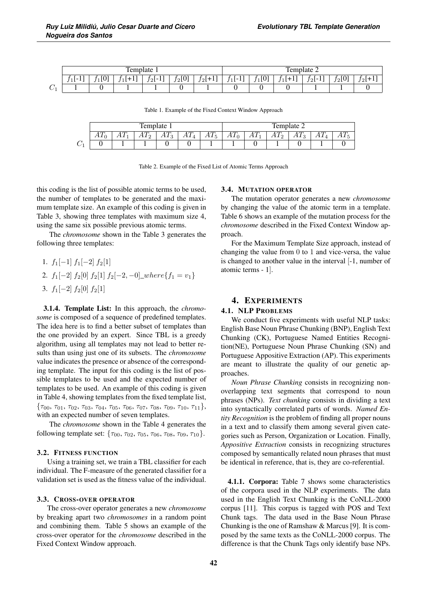|                                     | m<br>Temr<br>plate  |          |           |                              |                 |                              | $\mathbf{\mathbf{r}}$<br>$\overline{\phantom{a}}$<br>remr<br>plate 2 |            |          |                    |                   |     |  |
|-------------------------------------|---------------------|----------|-----------|------------------------------|-----------------|------------------------------|----------------------------------------------------------------------|------------|----------|--------------------|-------------------|-----|--|
|                                     | $\sim$<br><b>IL</b> | [0]<br>. | л.<br>. . | $\overline{1}$<br>$r_2$ [-1] | $f_2[0]$<br>. . | $\alpha$<br>ro '<br><u>_</u> | $\sim$ $\sim$<br>.<br>л.<br>. .                                      | [0]<br>. . | . .<br>. | $\sim$<br>.<br>2 L | ් [0]<br>$\sim$ L | 2 L |  |
| $\curvearrowright$<br>◡<br><b>.</b> |                     |          |           |                              |                 |                              |                                                                      |            |          |                    |                   |     |  |

Table 1. Example of the Fixed Context Window Approach

|                    | blate<br>remr                  |       |       |                                            |                | m<br>Template 2                    |                                |                           |                   |   |        |  |
|--------------------|--------------------------------|-------|-------|--------------------------------------------|----------------|------------------------------------|--------------------------------|---------------------------|-------------------|---|--------|--|
|                    | $\overline{\phantom{0}}$<br>11 | 2 L.L | <br>- | $\overline{a}$<br>$\sim$<br>$\cdots$<br>ر. | $\sim$<br>- 11 | $\overline{ }$<br>$\sqrt{11}$<br>◡ | $\overline{\phantom{0}}$<br>11 | $\sqrt{ }$<br>$\sqrt{11}$ | $\tau$<br>AI<br>∸ | υ | $\tau$ |  |
| $\sim$<br><b>.</b> |                                |       |       |                                            |                |                                    |                                |                           |                   |   |        |  |

Table 2. Example of the Fixed List of Atomic Terms Approach

this coding is the list of possible atomic terms to be used, the number of templates to be generated and the maximum template size. An example of this coding is given in Table 3, showing three templates with maximum size 4, using the same six possible previous atomic terms.

The *chromosome* shown in the Table 3 generates the following three templates:

1.  $f_1[-1] f_1[-2] f_2[1]$ 2.  $f_1[-2] f_2[0] f_2[1] f_2[-2, -0] \text{where} \{f_1 = v_1\}$ 3.  $f_1[-2] f_2[0] f_2[1]$ 

3.1.4. Template List: In this approach, the *chromosome* is composed of a sequence of predefined templates. The idea here is to find a better subset of templates than the one provided by an expert. Since TBL is a greedy algorithm, using all templates may not lead to better results than using just one of its subsets. The *chromosome* value indicates the presence or absence of the corresponding template. The input for this coding is the list of possible templates to be used and the expected number of templates to be used. An example of this coding is given in Table 4, showing templates from the fixed template list,  ${\tau_{00}, \tau_{01}, \tau_{02}, \tau_{03}, \tau_{04}, \tau_{05}, \tau_{06}, \tau_{07}, \tau_{08}, \tau_{09}, \tau_{10}, \tau_{11}}$ with an expected number of seven templates.

The *chromosome* shown in the Table 4 generates the following template set:  $\{\tau_{00}, \tau_{02}, \tau_{05}, \tau_{06}, \tau_{08}, \tau_{09}, \tau_{10}\}.$ 

## 3.2. FITNESS FUNCTION

Using a training set, we train a TBL classifier for each individual. The F-measure of the generated classifier for a validation set is used as the fitness value of the individual.

#### 3.3. CROSS-OVER OPERATOR

The cross-over operator generates a new *chromosome* by breaking apart two *chromosomes* in a random point and combining them. Table 5 shows an example of the cross-over operator for the *chromosome* described in the Fixed Context Window approach.

#### 3.4. MUTATION OPERATOR

The mutation operator generates a new *chromosome* by changing the value of the atomic term in a template. Table 6 shows an example of the mutation process for the *chromosome* described in the Fixed Context Window approach.

For the Maximum Template Size approach, instead of changing the value from 0 to 1 and vice-versa, the value is changed to another value in the interval [-1, number of atomic terms - 1].

# 4. EXPERIMENTS

#### 4.1. NLP PROBLEMS

We conduct five experiments with useful NLP tasks: English Base Noun Phrase Chunking (BNP), English Text Chunking (CK), Portuguese Named Entities Recognition(NE), Portuguese Noun Phrase Chunking (SN) and Portuguese Appositive Extraction (AP). This experiments are meant to illustrate the quality of our genetic approaches.

*Noun Phrase Chunking* consists in recognizing nonoverlapping text segments that correspond to noun phrases (NPs). *Text chunking* consists in dividing a text into syntactically correlated parts of words. *Named Entity Recognition* is the problem of finding all proper nouns in a text and to classify them among several given categories such as Person, Organization or Location. Finally, *Appositive Extraction* consists in recognizing structures composed by semantically related noun phrases that must be identical in reference, that is, they are co-referential.

4.1.1. Corpora: Table 7 shows some characteristics of the corpora used in the NLP experiments. The data used in the English Text Chunking is the CoNLL-2000 corpus [11]. This corpus is tagged with POS and Text Chunk tags. The data used in the Base Noun Phrase Chunking is the one of Ramshaw & Marcus [9]. It is composed by the same texts as the CoNLL-2000 corpus. The difference is that the Chunk Tags only identify base NPs.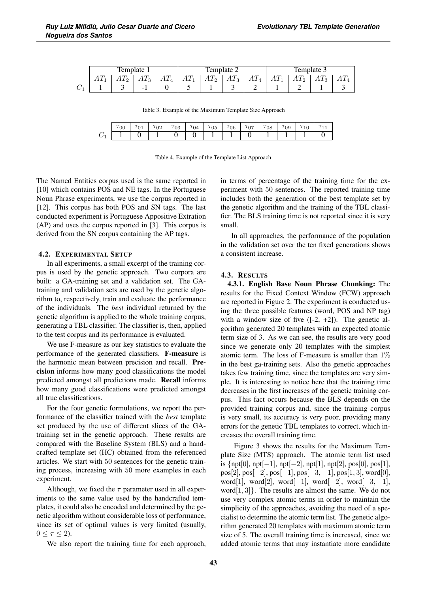| Template |  |                |        |                  | emplate               |                        |                         | Template 3      |                |                |                |  |
|----------|--|----------------|--------|------------------|-----------------------|------------------------|-------------------------|-----------------|----------------|----------------|----------------|--|
| $\cdots$ |  | $\overline{ }$ | $\sim$ | $\sqrt{2}$<br>AI | $\sqrt{ }$<br>АΊ<br>▵ | $\sqrt{ }$<br>11<br>٠J | $\overline{ }$<br>7 T.T | $\overline{11}$ | A <sub>L</sub> | $\overline{ }$ | $\overline{1}$ |  |
|          |  | -              |        |                  |                       |                        |                         |                 | -              |                |                |  |

Table 3. Example of the Maximum Template Size Approach

|   | 00 | <b>UT</b> | UΖ | U3 | '04 | U5 | 06 | 07 | -<br>υŏ | $\sim$<br>ាធ<br>v., | <b>LV</b> |  |
|---|----|-----------|----|----|-----|----|----|----|---------|---------------------|-----------|--|
| ◡ |    |           |    |    |     |    |    |    |         |                     |           |  |

Table 4. Example of the Template List Approach

The Named Entities corpus used is the same reported in [10] which contains POS and NE tags. In the Portuguese Noun Phrase experiments, we use the corpus reported in [12]. This corpus has both POS and SN tags. The last conducted experiment is Portuguese Appositive Extration (AP) and uses the corpus reported in [3]. This corpus is derived from the SN corpus containing the AP tags.

#### 4.2. EXPERIMENTAL SETUP

In all experiments, a small excerpt of the training corpus is used by the genetic approach. Two corpora are built: a GA-training set and a validation set. The GAtraining and validation sets are used by the genetic algorithm to, respectively, train and evaluate the performance of the individuals. The *best* individual returned by the genetic algorithm is applied to the whole training corpus, generating a TBL classifier. The classifier is, then, applied to the test corpus and its performance is evaluated.

We use F-measure as our key statistics to evaluate the performance of the generated classifiers. F-measure is the harmonic mean between precision and recall. Precision informs how many good classifications the model predicted amongst all predictions made. Recall informs how many good classifications were predicted amongst all true classifications.

For the four genetic formulations, we report the performance of the classifier trained with the *best* template set produced by the use of different slices of the GAtraining set in the genetic approach. These results are compared with the Baseline System (BLS) and a handcrafted template set (HC) obtained from the referenced articles. We start with 50 sentences for the genetic training process, increasing with 50 more examples in each experiment.

Although, we fixed the  $\tau$  parameter used in all experiments to the same value used by the handcrafted templates, it could also be encoded and determined by the genetic algorithm without considerable loss of performance, since its set of optimal values is very limited (usually,  $0 \leq \tau \leq 2$ ).

We also report the training time for each approach,

in terms of percentage of the training time for the experiment with 50 sentences. The reported training time includes both the generation of the best template set by the genetic algorithm and the training of the TBL classifier. The BLS training time is not reported since it is very small.

In all approaches, the performance of the population in the validation set over the ten fixed generations shows a consistent increase.

#### 4.3. RESULTS

4.3.1. English Base Noun Phrase Chunking: The results for the Fixed Context Window (FCW) approach are reported in Figure 2. The experiment is conducted using the three possible features (word, POS and NP tag) with a window size of five  $([-2, +2])$ . The genetic algorithm generated 20 templates with an expected atomic term size of 3. As we can see, the results are very good since we generate only 20 templates with the simplest atomic term. The loss of F-measure is smaller than  $1\%$ in the best ga-training sets. Also the genetic approaches takes few training time, since the templates are very simple. It is interesting to notice here that the training time decreases in the first increases of the genetic training corpus. This fact occurs because the BLS depends on the provided training corpus and, since the training corpus is very small, its accuracy is very poor, providing many errors for the genetic TBL templates to correct, which increases the overall training time.

Figure 3 shows the results for the Maximum Template Size (MTS) approach. The atomic term list used is  $\{$ npt[0], npt[−1], npt[−2], npt[1], npt[2], pos[0], pos[1],  $pos[2], pos[-2], pos[-1], pos[-3, -1], pos[1, 3], word[0],$ word[1], word[2], word[-1], word[-2], word[-3, -1], word $[1, 3]$ . The results are almost the same. We do not use very complex atomic terms in order to maintain the simplicity of the approaches, avoiding the need of a specialist to determine the atomic term list. The genetic algorithm generated 20 templates with maximum atomic term size of 5. The overall training time is increased, since we added atomic terms that may instantiate more candidate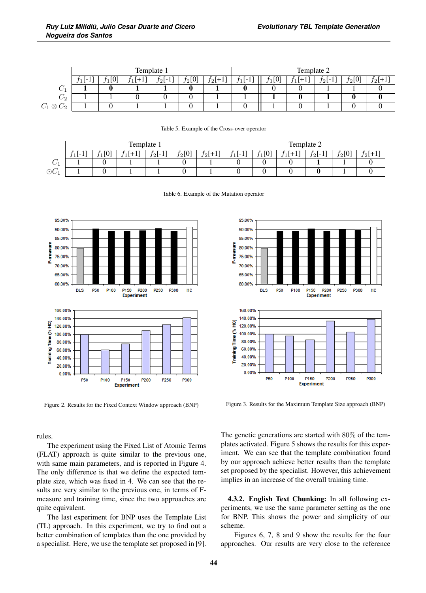|                            | Template 1 |     |   |           |          |           | Template 2 |    |   |       |          |   |  |
|----------------------------|------------|-----|---|-----------|----------|-----------|------------|----|---|-------|----------|---|--|
|                            | $1[-1]$    | г∩⊺ | ÷ | $f_2$ [-1 | $f_2[0]$ | $f_2[+1]$ | и<br>.     | ſО | - | 72 L- | $f_2[0]$ | ാ |  |
| U.                         |            | C   |   |           |          |           |            |    |   |       |          |   |  |
| $C_2$                      |            |     |   |           |          |           |            |    |   |       |          |   |  |
| $C_2$<br>$C_1\otimes$<br>∼ |            |     |   |           |          |           |            |    |   |       |          |   |  |

|             | Template 1                     |                  |    |             |          |               |              | Template 2        |            |          |          |       |  |
|-------------|--------------------------------|------------------|----|-------------|----------|---------------|--------------|-------------------|------------|----------|----------|-------|--|
|             | $\overline{\phantom{0}}$<br>ΞL | <b>601</b><br>ΙV | л. | $21-$<br>л. | $f_2[0]$ | $J2$ l+<br>п. | $\sim$<br>ΙL | D) ،<br><b>LL</b> | '+1<br>. . | $f_2[-]$ | $f_2[0]$ | $t_2$ |  |
| ∼<br>◡      |                                |                  |    |             |          |               |              |                   |            |          |          |       |  |
| $\odot C_1$ |                                |                  |    |             |          |               |              |                   |            |          |          |       |  |

Table 5. Example of the Cross-over operator

|  |  |  | Table 6. Example of the Mutation operator |  |
|--|--|--|-------------------------------------------|--|
|--|--|--|-------------------------------------------|--|



Figure 2. Results for the Fixed Context Window approach (BNP)

rules.

The experiment using the Fixed List of Atomic Terms (FLAT) approach is quite similar to the previous one, with same main parameters, and is reported in Figure 4. The only difference is that we define the expected template size, which was fixed in 4. We can see that the results are very similar to the previous one, in terms of Fmeasure and training time, since the two approaches are quite equivalent.

The last experiment for BNP uses the Template List (TL) approach. In this experiment, we try to find out a better combination of templates than the one provided by a specialist. Here, we use the template set proposed in [9].



Figure 3. Results for the Maximum Template Size approach (BNP)

The genetic generations are started with 80% of the templates activated. Figure 5 shows the results for this experiment. We can see that the template combination found by our approach achieve better results than the template set proposed by the specialist. However, this achievement implies in an increase of the overall training time.

4.3.2. English Text Chunking: In all following experiments, we use the same parameter setting as the one for BNP. This shows the power and simplicity of our scheme.

Figures 6, 7, 8 and 9 show the results for the four approaches. Our results are very close to the reference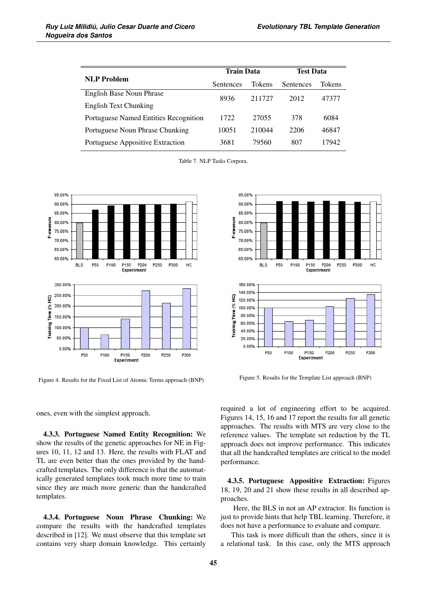|                                       | <b>Train Data</b> |        | <b>Test Data</b> |        |  |
|---------------------------------------|-------------------|--------|------------------|--------|--|
| <b>NLP</b> Problem                    | <b>Sentences</b>  | Tokens | <b>Sentences</b> | Tokens |  |
| English Base Noun Phrase              | 8936              | 211727 | 2012             | 47377  |  |
| English Text Chunking                 |                   |        |                  |        |  |
| Portuguese Named Entities Recognition | 1722              | 27055  | 378              | 6084   |  |
| Portuguese Noun Phrase Chunking       | 10051             | 210044 | 2206             | 46847  |  |
| Portuguese Appositive Extraction      | 3681              | 79560  | 807              | 17942  |  |

Table 7. NLP Tasks Corpora.



Figure 4. Results for the Fixed List of Atomic Terms approach (BNP)



Figure 5. Results for the Template List approach (BNP)

**Experiment** 

ones, even with the simplest approach.

4.3.3. Portuguese Named Entity Recognition: We show the results of the genetic approaches for NE in Figures 10, 11, 12 and 13. Here, the results with FLAT and TL are even better than the ones provided by the handcrafted templates. The only difference is that the automatically generated templates took much more time to train since they are much more generic than the handcrafted templates.

4.3.4. Portuguese Noun Phrase Chunking: We compare the results with the handcrafted templates described in [12]. We must observe that this template set contains very sharp domain knowledge. This certainly

required a lot of engineering effort to be acquired. Figures 14, 15, 16 and 17 report the results for all genetic approaches. The results with MTS are very close to the reference values. The template set reduction by the TL approach does not improve performance. This indicates that all the handcrafted templates are critical to the model performance.

4.3.5. Portuguese Appositive Extraction: Figures 18, 19, 20 and 21 show these results in all described approaches.

Here, the BLS in not an AP extractor. Its function is just to provide hints that help TBL learning. Therefore, it does not have a performance to evaluate and compare.

This task is more difficult than the others, since it is a relational task. In this case, only the MTS approach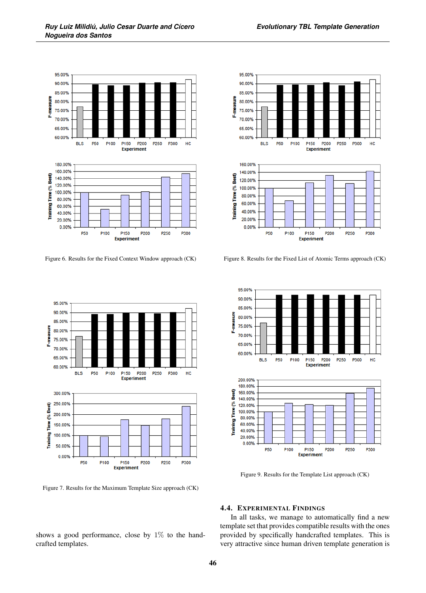

Figure 6. Results for the Fixed Context Window approach (CK)



Figure 7. Results for the Maximum Template Size approach (CK)

shows a good performance, close by  $1\%$  to the handcrafted templates.



Figure 8. Results for the Fixed List of Atomic Terms approach (CK)



Figure 9. Results for the Template List approach (CK)

#### 4.4. EXPERIMENTAL FINDINGS

In all tasks, we manage to automatically find a new template set that provides compatible results with the ones provided by specifically handcrafted templates. This is very attractive since human driven template generation is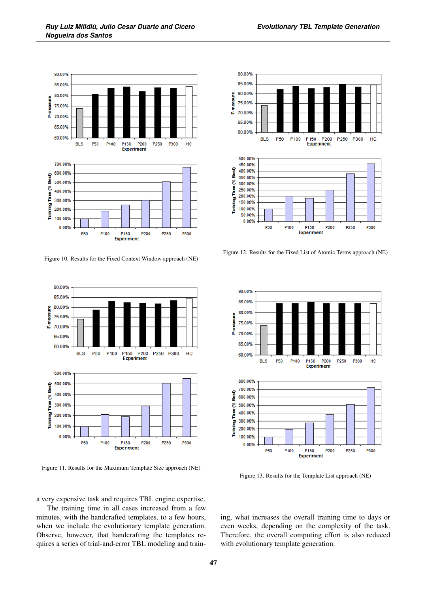

Figure 10. Results for the Fixed Context Window approach (NE)



Figure 11. Results for the Maximum Template Size approach (NE)

a very expensive task and requires TBL engine expertise.

The training time in all cases increased from a few minutes, with the handcrafted templates, to a few hours, when we include the evolutionary template generation. Observe, however, that handcrafting the templates requires a series of trial-and-error TBL modeling and train-



Figure 12. Results for the Fixed List of Atomic Terms approach (NE)

**Experiment** 



Figure 13. Results for the Template List approach (NE)

ing, what increases the overall training time to days or even weeks, depending on the complexity of the task. Therefore, the overall computing effort is also reduced with evolutionary template generation.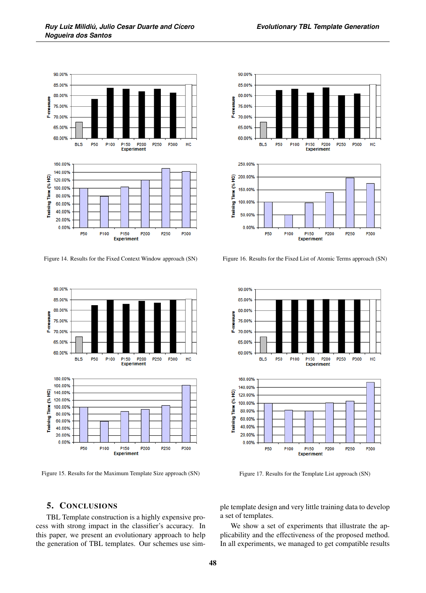

Figure 14. Results for the Fixed Context Window approach (SN)



Figure 15. Results for the Maximum Template Size approach (SN)



Figure 16. Results for the Fixed List of Atomic Terms approach (SN)



Figure 17. Results for the Template List approach (SN)

# 5. CONCLUSIONS

TBL Template construction is a highly expensive process with strong impact in the classifier's accuracy. In this paper, we present an evolutionary approach to help the generation of TBL templates. Our schemes use sim-

ple template design and very little training data to develop a set of templates.

We show a set of experiments that illustrate the applicability and the effectiveness of the proposed method. In all experiments, we managed to get compatible results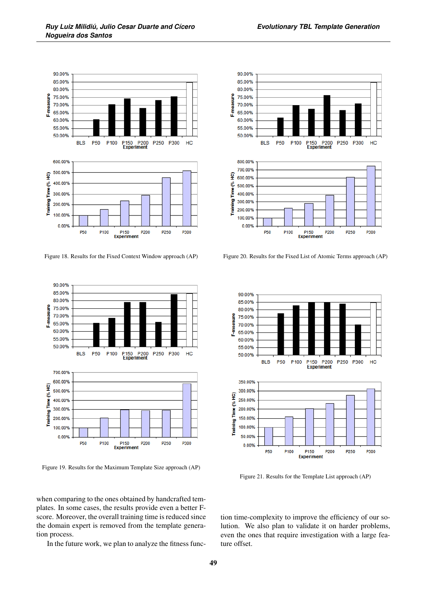

Figure 18. Results for the Fixed Context Window approach (AP)



Figure 19. Results for the Maximum Template Size approach (AP)

when comparing to the ones obtained by handcrafted templates. In some cases, the results provide even a better Fscore. Moreover, the overall training time is reduced since the domain expert is removed from the template generation process.

In the future work, we plan to analyze the fitness func-

*Evolutionary TBL Template Generation*



Figure 20. Results for the Fixed List of Atomic Terms approach (AP)



Figure 21. Results for the Template List approach (AP)

tion time-complexity to improve the efficiency of our solution. We also plan to validate it on harder problems, even the ones that require investigation with a large feature offset.